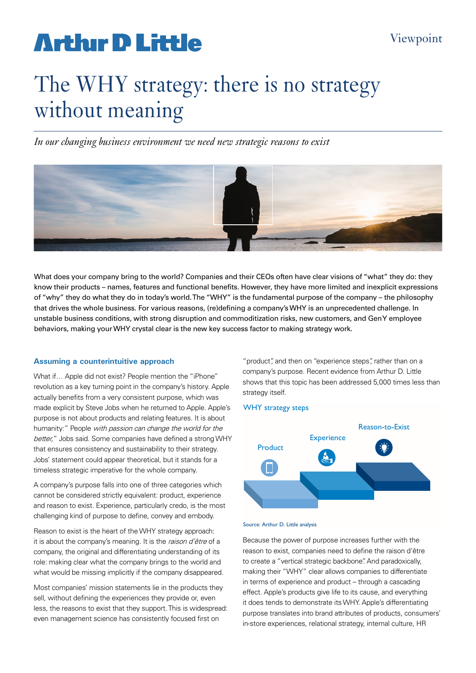# **Artlur D Little**

# The WHY strategy: there is no strategy without meaning

*In our changing business environment we need new strategic reasons to exist*



What does your company bring to the world? Companies and their CEOs often have clear visions of "what" they do: they know their products – names, features and functional benefits. However, they have more limited and inexplicit expressions of "why" they do what they do in today's world. The "WHY" is the fundamental purpose of the company – the philosophy that drives the whole business. For various reasons, (re)defining a company's WHY is an unprecedented challenge. In unstable business conditions, with strong disruption and commoditization risks, new customers, and Gen Y employee behaviors, making your WHY crystal clear is the new key success factor to making strategy work.

## **Assuming a counterintuitive approach**

What if… Apple did not exist? People mention the "iPhone" revolution as a key turning point in the company's history. Apple actually benefits from a very consistent purpose, which was made explicit by Steve Jobs when he returned to Apple. Apple's purpose is not about products and relating features. It is about humanity:" People with passion can change the world for the better," Jobs said. Some companies have defined a strong WHY that ensures consistency and sustainability to their strategy. Jobs' statement could appear theoretical, but it stands for a timeless strategic imperative for the whole company.

A company's purpose falls into one of three categories which cannot be considered strictly equivalent: product, experience and reason to exist. Experience, particularly credo, is the most challenging kind of purpose to define, convey and embody.

Reason to exist is the heart of the WHY strategy approach: it is about the company's meaning. It is the raison d'être of a company, the original and differentiating understanding of its role: making clear what the company brings to the world and what would be missing implicitly if the company disappeared.

Most companies' mission statements lie in the products they sell, without defining the experiences they provide or, even less, the reasons to exist that they support. This is widespread: even management science has consistently focused first on

"product", and then on "experience steps", rather than on a company's purpose. Recent evidence from Arthur D. Little shows that this topic has been addressed 5,000 times less than strategy itself.

## WHY strategy steps



Source: Arthur D. Little analysis

Because the power of purpose increases further with the reason to exist, companies need to define the raison d'être to create a "vertical strategic backbone". And paradoxically, making their "WHY" clear allows companies to differentiate in terms of experience and product – through a cascading effect. Apple's products give life to its cause, and everything it does tends to demonstrate its WHY. Apple's differentiating purpose translates into brand attributes of products, consumers' in-store experiences, relational strategy, internal culture, HR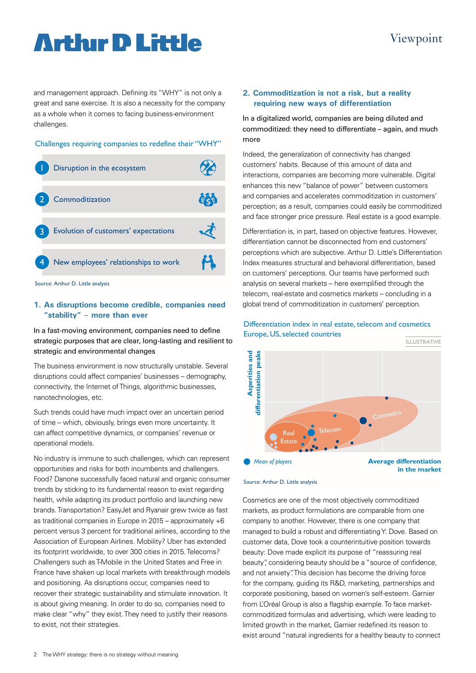# **Arthur D Little**

# Viewpoint

and management approach. Defining its "WHY" is not only a great and sane exercise. It is also a necessity for the company as a whole when it comes to facing business-environment challenges.

#### Challenges requiring companies to redefine their "WHY"



Source: Arthur D. Little analysis

# **1. As disruptions become credible, companies need "stability" – more than ever**

In a fast-moving environment, companies need to define strategic purposes that are clear, long-lasting and resilient to strategic and environmental changes

The business environment is now structurally unstable. Several disruptions could affect companies' businesses – demography, connectivity, the Internet of Things, algorithmic businesses, nanotechnologies, etc.

Such trends could have much impact over an uncertain period of time – which, obviously, brings even more uncertainty. It can affect competitive dynamics, or companies' revenue or operational models.

No industry is immune to such challenges, which can represent opportunities and risks for both incumbents and challengers. Food? Danone successfully faced natural and organic consumer trends by sticking to its fundamental reason to exist regarding health, while adapting its product portfolio and launching new brands. Transportation? EasyJet and Ryanair grew twice as fast as traditional companies in Europe in 2015 – approximately +6 percent versus 3 percent for traditional airlines, according to the Association of European Airlines. Mobility? Uber has extended its footprint worldwide, to over 300 cities in 2015. Telecoms? Challengers such as T-Mobile in the United States and Free in France have shaken up local markets with breakthrough models and positioning. As disruptions occur, companies need to recover their strategic sustainability and stimulate innovation. It is about giving meaning. In order to do so, companies need to make clear "why" they exist. They need to justify their reasons to exist, not their strategies.

### **2. Commoditization is not a risk, but a reality requiring new ways of differentiation**

In a digitalized world, companies are being diluted and commoditized: they need to differentiate – again, and much more

Indeed, the generalization of connectivity has changed customers' habits. Because of this amount of data and interactions, companies are becoming more vulnerable. Digital enhances this new "balance of power" between customers and companies and accelerates commoditization in customers' perception; as a result, companies could easily be commoditized and face stronger price pressure. Real estate is a good example.

Differentiation is, in part, based on objective features. However, differentiation cannot be disconnected from end customers' perceptions which are subjective. Arthur D. Little's Differentiation Index measures structural and behavioral differentiation, based on customers' perceptions. Our teams have performed such analysis on several markets – here exemplified through the telecom, real-estate and cosmetics markets - concluding in a global trend of commoditization in customers' perception.



#### Differentiation index in real estate, telecom and cosmetics Europe, US, selected countries

Source: Arthur D. Little analysis

Cosmetics are one of the most objectively commoditized markets, as product formulations are comparable from one company to another. However, there is one company that managed to build a robust and differentiating Y: Dove. Based on customer data, Dove took a counterintuitive position towards beauty: Dove made explicit its purpose of "reassuring real beauty", considering beauty should be a "source of confidence, and not anxiety". This decision has become the driving force for the company, guiding its R&D, marketing, partnerships and corporate positioning, based on women's self-esteem. Garnier from L'Oréal Group is also a flagship example. To face marketcommoditized formulas and advertising, which were leading to limited growth in the market, Garnier redefined its reason to exist around "natural ingredients for a healthy beauty to connect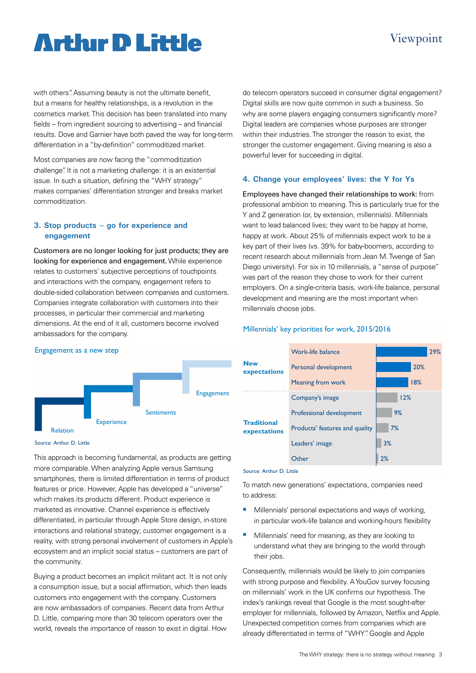# **Arthır D Little**

with others". Assuming beauty is not the ultimate benefit, but a means for healthy relationships, is a revolution in the cosmetics market. This decision has been translated into many fields – from ingredient sourcing to advertising – and financial results. Dove and Garnier have both paved the way for long-term differentiation in a "by-definition" commoditized market.

Most companies are now facing the "commoditization challenge". It is not a marketing challenge: it is an existential issue. In such a situation, defining the "WHY strategy" makes companies' differentiation stronger and breaks market commoditization.

## **3. Stop products – go for experience and engagement**

Customers are no longer looking for just products; they are looking for experience and engagement. While experience relates to customers' subjective perceptions of touchpoints and interactions with the company, engagement refers to double-sided collaboration between companies and customers. Companies integrate collaboration with customers into their processes, in particular their commercial and marketing dimensions. At the end of it all, customers become involved ambassadors for the company.



Viewpoint

## **4. Change your employees' lives: the Y for Ys**

Employees have changed their relationships to work: from professional ambition to meaning. This is particularly true for the Y and Z generation (or, by extension, millennials). Millennials want to lead balanced lives; they want to be happy at home, happy at work. About 25% of millennials expect work to be a key part of their lives (vs. 39% for baby-boomers, according to recent research about millennials from Jean M. Twenge of San Diego university). For six in 10 millennials, a "sense of purpose" was part of the reason they chose to work for their current employers. On a single-criteria basis, work-life balance, personal development and meaning are the most important when millennials choose jobs.

### Millennials' key priorities for work, 2015/2016



Source: Arthur D. Little

This approach is becoming fundamental, as products are getting more comparable. When analyzing Apple versus Samsung smartphones, there is limited differentiation in terms of product features or price. However, Apple has developed a "universe" which makes its products different. Product experience is marketed as innovative. Channel experience is effectively differentiated, in particular through Apple Store design, in-store interactions and relational strategy; customer engagement is a reality, with strong personal involvement of customers in Apple's ecosystem and an implicit social status – customers are part of the community.

Buying a product becomes an implicit militant act. It is not only a consumption issue, but a social affirmation, which then leads customers into engagement with the company. Customers are now ambassadors of companies. Recent data from Arthur D. Little, comparing more than 30 telecom operators over the world, reveals the importance of reason to exist in digital. How



#### Source: Arthur D. Little

To match new generations' expectations, companies need to address:

- Millennials' personal expectations and ways of working, in particular work-life balance and working-hours flexibility
- **Millennials' need for meaning, as they are looking to** understand what they are bringing to the world through their jobs.

Consequently, millennials would be likely to join companies with strong purpose and flexibility. A YouGov survey focusing on millennials' work in the UK confirms our hypothesis. The index's rankings reveal that Google is the most sought-after employer for millennials, followed by Amazon, Netflix and Apple. Unexpected competition comes from companies which are already differentiated in terms of "WHY". Google and Apple